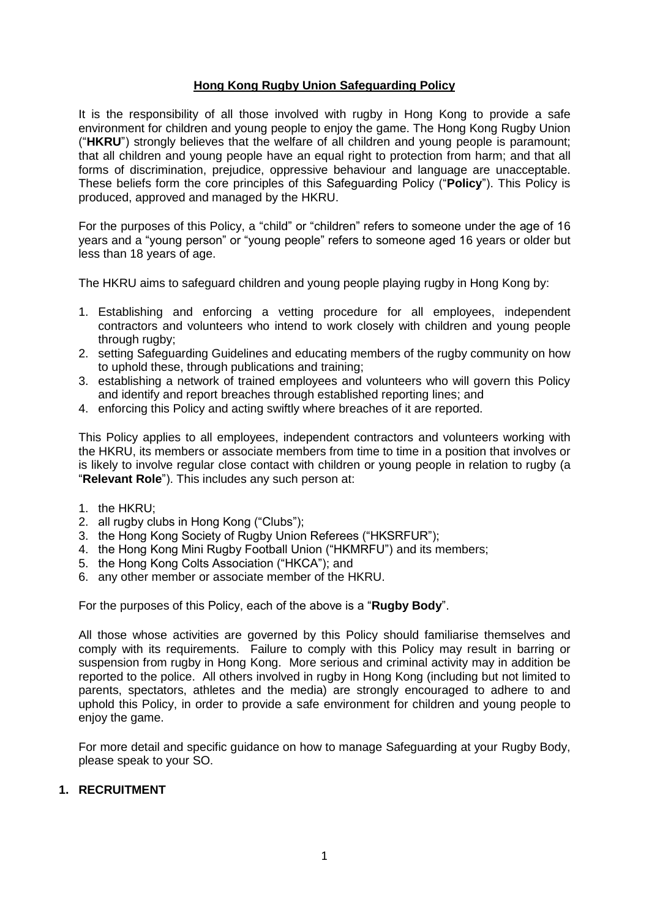# **Hong Kong Rugby Union Safeguarding Policy**

It is the responsibility of all those involved with rugby in Hong Kong to provide a safe environment for children and young people to enjoy the game. The Hong Kong Rugby Union ("**HKRU**") strongly believes that the welfare of all children and young people is paramount; that all children and young people have an equal right to protection from harm; and that all forms of discrimination, prejudice, oppressive behaviour and language are unacceptable. These beliefs form the core principles of this Safeguarding Policy ("**Policy**"). This Policy is produced, approved and managed by the HKRU.

For the purposes of this Policy, a "child" or "children" refers to someone under the age of 16 years and a "young person" or "young people" refers to someone aged 16 years or older but less than 18 years of age.

The HKRU aims to safeguard children and young people playing rugby in Hong Kong by:

- 1. Establishing and enforcing a vetting procedure for all employees, independent contractors and volunteers who intend to work closely with children and young people through rugby;
- 2. setting Safeguarding Guidelines and educating members of the rugby community on how to uphold these, through publications and training;
- 3. establishing a network of trained employees and volunteers who will govern this Policy and identify and report breaches through established reporting lines; and
- 4. enforcing this Policy and acting swiftly where breaches of it are reported.

This Policy applies to all employees, independent contractors and volunteers working with the HKRU, its members or associate members from time to time in a position that involves or is likely to involve regular close contact with children or young people in relation to rugby (a "**Relevant Role**"). This includes any such person at:

- 1. the HKRU;
- 2. all rugby clubs in Hong Kong ("Clubs");
- 3. the Hong Kong Society of Rugby Union Referees ("HKSRFUR");
- 4. the Hong Kong Mini Rugby Football Union ("HKMRFU") and its members;
- 5. the Hong Kong Colts Association ("HKCA"); and
- 6. any other member or associate member of the HKRU.

For the purposes of this Policy, each of the above is a "**Rugby Body**".

All those whose activities are governed by this Policy should familiarise themselves and comply with its requirements. Failure to comply with this Policy may result in barring or suspension from rugby in Hong Kong. More serious and criminal activity may in addition be reported to the police. All others involved in rugby in Hong Kong (including but not limited to parents, spectators, athletes and the media) are strongly encouraged to adhere to and uphold this Policy, in order to provide a safe environment for children and young people to enjoy the game.

For more detail and specific guidance on how to manage Safeguarding at your Rugby Body, please speak to your SO.

# **1. RECRUITMENT**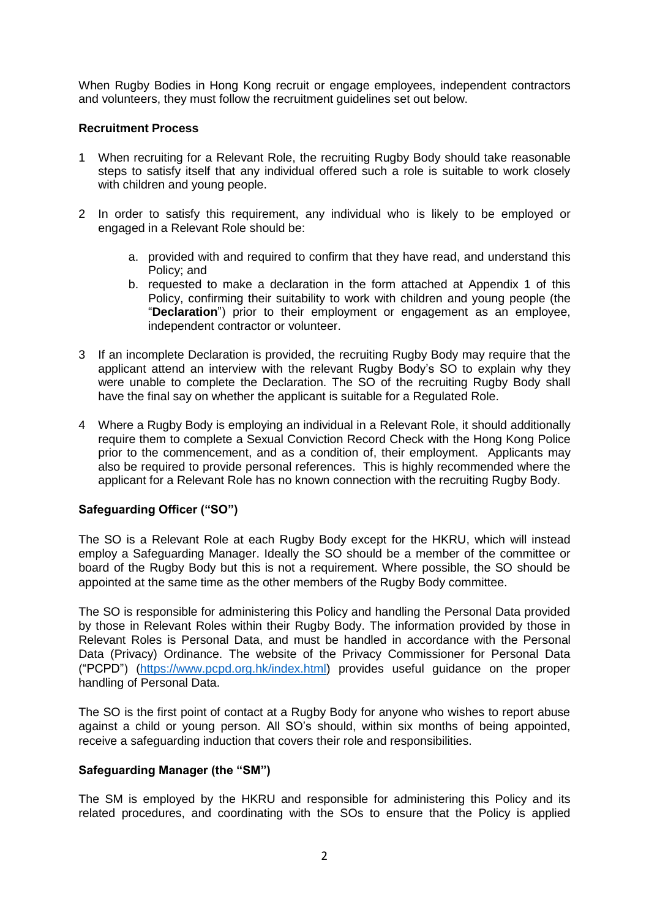When Rugby Bodies in Hong Kong recruit or engage employees, independent contractors and volunteers, they must follow the recruitment guidelines set out below.

# **Recruitment Process**

- 1 When recruiting for a Relevant Role, the recruiting Rugby Body should take reasonable steps to satisfy itself that any individual offered such a role is suitable to work closely with children and young people.
- 2 In order to satisfy this requirement, any individual who is likely to be employed or engaged in a Relevant Role should be:
	- a. provided with and required to confirm that they have read, and understand this Policy; and
	- b. requested to make a declaration in the form attached at Appendix 1 of this Policy, confirming their suitability to work with children and young people (the "**Declaration**") prior to their employment or engagement as an employee, independent contractor or volunteer.
- 3 If an incomplete Declaration is provided, the recruiting Rugby Body may require that the applicant attend an interview with the relevant Rugby Body"s SO to explain why they were unable to complete the Declaration. The SO of the recruiting Rugby Body shall have the final say on whether the applicant is suitable for a Regulated Role.
- 4 Where a Rugby Body is employing an individual in a Relevant Role, it should additionally require them to complete a Sexual Conviction Record Check with the Hong Kong Police prior to the commencement, and as a condition of, their employment. Applicants may also be required to provide personal references. This is highly recommended where the applicant for a Relevant Role has no known connection with the recruiting Rugby Body.

# **Safeguarding Officer ("SO")**

The SO is a Relevant Role at each Rugby Body except for the HKRU, which will instead employ a Safeguarding Manager. Ideally the SO should be a member of the committee or board of the Rugby Body but this is not a requirement. Where possible, the SO should be appointed at the same time as the other members of the Rugby Body committee.

The SO is responsible for administering this Policy and handling the Personal Data provided by those in Relevant Roles within their Rugby Body. The information provided by those in Relevant Roles is Personal Data, and must be handled in accordance with the Personal Data (Privacy) Ordinance. The website of the Privacy Commissioner for Personal Data ("PCPD") [\(https://www.pcpd.org.hk/index.html\)](https://www.pcpd.org.hk/index.html) provides useful guidance on the proper handling of Personal Data.

The SO is the first point of contact at a Rugby Body for anyone who wishes to report abuse against a child or young person. All SO"s should, within six months of being appointed, receive a safeguarding induction that covers their role and responsibilities.

## **Safeguarding Manager (the "SM")**

The SM is employed by the HKRU and responsible for administering this Policy and its related procedures, and coordinating with the SOs to ensure that the Policy is applied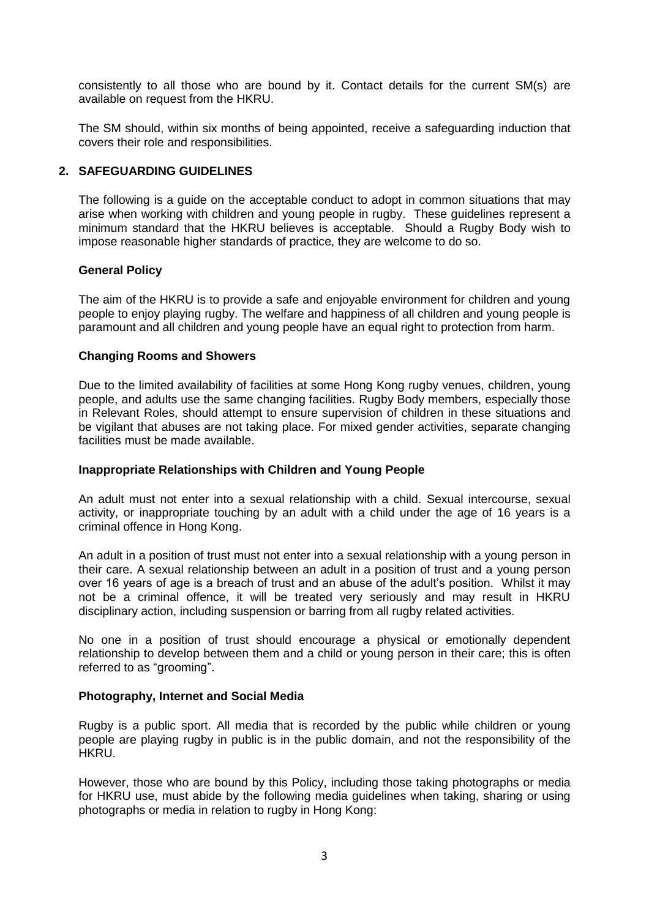consistently to all those who are bound by it. Contact details for the current SM(s) are available on request from the HKRU.

The SM should, within six months of being appointed, receive a safeguarding induction that covers their role and responsibilities.

## **2. SAFEGUARDING GUIDELINES**

The following is a guide on the acceptable conduct to adopt in common situations that may arise when working with children and young people in rugby. These guidelines represent a minimum standard that the HKRU believes is acceptable. Should a Rugby Body wish to impose reasonable higher standards of practice, they are welcome to do so.

## **General Policy**

The aim of the HKRU is to provide a safe and enjoyable environment for children and young people to enjoy playing rugby. The welfare and happiness of all children and young people is paramount and all children and young people have an equal right to protection from harm.

## **Changing Rooms and Showers**

Due to the limited availability of facilities at some Hong Kong rugby venues, children, young people, and adults use the same changing facilities. Rugby Body members, especially those in Relevant Roles, should attempt to ensure supervision of children in these situations and be vigilant that abuses are not taking place. For mixed gender activities, separate changing facilities must be made available.

### **Inappropriate Relationships with Children and Young People**

An adult must not enter into a sexual relationship with a child. Sexual intercourse, sexual activity, or inappropriate touching by an adult with a child under the age of 16 years is a criminal offence in Hong Kong.

An adult in a position of trust must not enter into a sexual relationship with a young person in their care. A sexual relationship between an adult in a position of trust and a young person over 16 years of age is a breach of trust and an abuse of the adult"s position. Whilst it may not be a criminal offence, it will be treated very seriously and may result in HKRU disciplinary action, including suspension or barring from all rugby related activities.

No one in a position of trust should encourage a physical or emotionally dependent relationship to develop between them and a child or young person in their care; this is often referred to as "grooming".

### **Photography, Internet and Social Media**

Rugby is a public sport. All media that is recorded by the public while children or young people are playing rugby in public is in the public domain, and not the responsibility of the HKRU.

However, those who are bound by this Policy, including those taking photographs or media for HKRU use, must abide by the following media guidelines when taking, sharing or using photographs or media in relation to rugby in Hong Kong: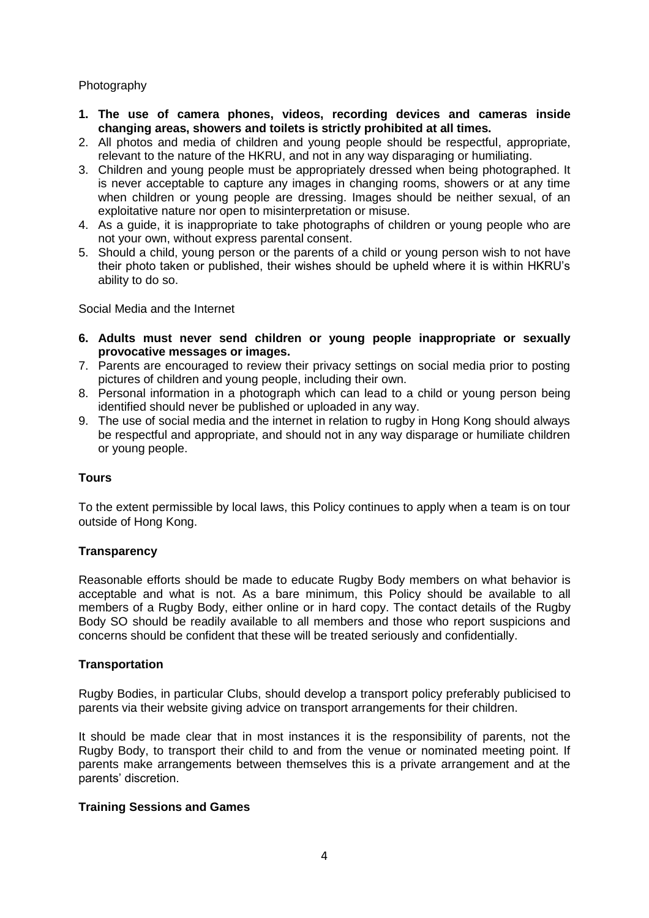# Photography

- **1. The use of camera phones, videos, recording devices and cameras inside changing areas, showers and toilets is strictly prohibited at all times.**
- 2. All photos and media of children and young people should be respectful, appropriate, relevant to the nature of the HKRU, and not in any way disparaging or humiliating.
- 3. Children and young people must be appropriately dressed when being photographed. It is never acceptable to capture any images in changing rooms, showers or at any time when children or young people are dressing. Images should be neither sexual, of an exploitative nature nor open to misinterpretation or misuse.
- 4. As a guide, it is inappropriate to take photographs of children or young people who are not your own, without express parental consent.
- 5. Should a child, young person or the parents of a child or young person wish to not have their photo taken or published, their wishes should be upheld where it is within HKRU"s ability to do so.

Social Media and the Internet

- **6. Adults must never send children or young people inappropriate or sexually provocative messages or images.**
- 7. Parents are encouraged to review their privacy settings on social media prior to posting pictures of children and young people, including their own.
- 8. Personal information in a photograph which can lead to a child or young person being identified should never be published or uploaded in any way.
- 9. The use of social media and the internet in relation to rugby in Hong Kong should always be respectful and appropriate, and should not in any way disparage or humiliate children or young people.

# **Tours**

To the extent permissible by local laws, this Policy continues to apply when a team is on tour outside of Hong Kong.

# **Transparency**

Reasonable efforts should be made to educate Rugby Body members on what behavior is acceptable and what is not. As a bare minimum, this Policy should be available to all members of a Rugby Body, either online or in hard copy. The contact details of the Rugby Body SO should be readily available to all members and those who report suspicions and concerns should be confident that these will be treated seriously and confidentially.

### **Transportation**

Rugby Bodies, in particular Clubs, should develop a transport policy preferably publicised to parents via their website giving advice on transport arrangements for their children.

It should be made clear that in most instances it is the responsibility of parents, not the Rugby Body, to transport their child to and from the venue or nominated meeting point. If parents make arrangements between themselves this is a private arrangement and at the parents" discretion.

### **Training Sessions and Games**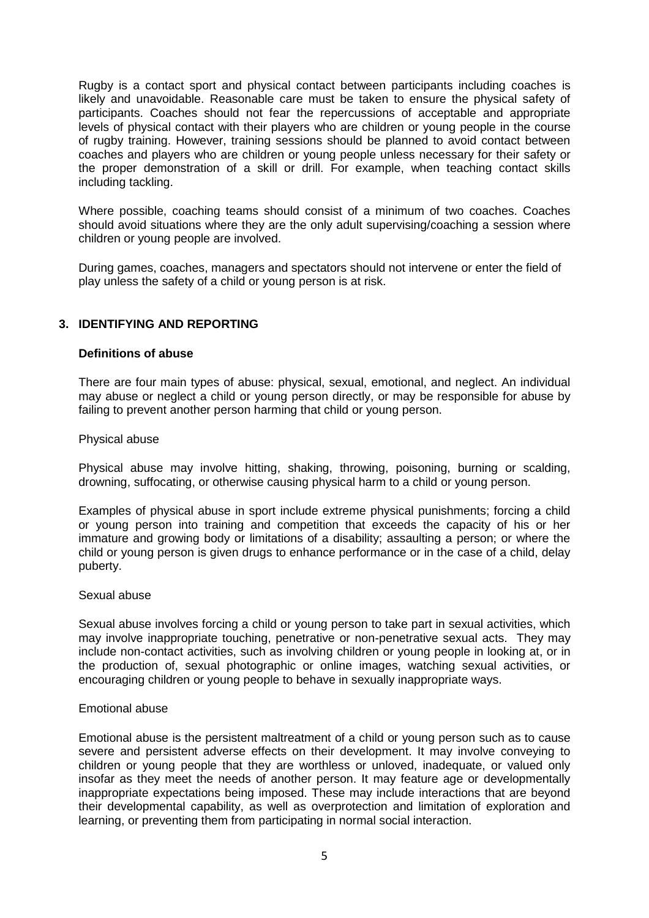Rugby is a contact sport and physical contact between participants including coaches is likely and unavoidable. Reasonable care must be taken to ensure the physical safety of participants. Coaches should not fear the repercussions of acceptable and appropriate levels of physical contact with their players who are children or young people in the course of rugby training. However, training sessions should be planned to avoid contact between coaches and players who are children or young people unless necessary for their safety or the proper demonstration of a skill or drill. For example, when teaching contact skills including tackling.

Where possible, coaching teams should consist of a minimum of two coaches. Coaches should avoid situations where they are the only adult supervising/coaching a session where children or young people are involved.

During games, coaches, managers and spectators should not intervene or enter the field of play unless the safety of a child or young person is at risk.

# **3. IDENTIFYING AND REPORTING**

## **Definitions of abuse**

There are four main types of abuse: physical, sexual, emotional, and neglect. An individual may abuse or neglect a child or young person directly, or may be responsible for abuse by failing to prevent another person harming that child or young person.

### Physical abuse

Physical abuse may involve hitting, shaking, throwing, poisoning, burning or scalding, drowning, suffocating, or otherwise causing physical harm to a child or young person.

Examples of physical abuse in sport include extreme physical punishments; forcing a child or young person into training and competition that exceeds the capacity of his or her immature and growing body or limitations of a disability; assaulting a person; or where the child or young person is given drugs to enhance performance or in the case of a child, delay puberty.

### Sexual abuse

Sexual abuse involves forcing a child or young person to take part in sexual activities, which may involve inappropriate touching, penetrative or non-penetrative sexual acts. They may include non-contact activities, such as involving children or young people in looking at, or in the production of, sexual photographic or online images, watching sexual activities, or encouraging children or young people to behave in sexually inappropriate ways.

### Emotional abuse

Emotional abuse is the persistent maltreatment of a child or young person such as to cause severe and persistent adverse effects on their development. It may involve conveying to children or young people that they are worthless or unloved, inadequate, or valued only insofar as they meet the needs of another person. It may feature age or developmentally inappropriate expectations being imposed. These may include interactions that are beyond their developmental capability, as well as overprotection and limitation of exploration and learning, or preventing them from participating in normal social interaction.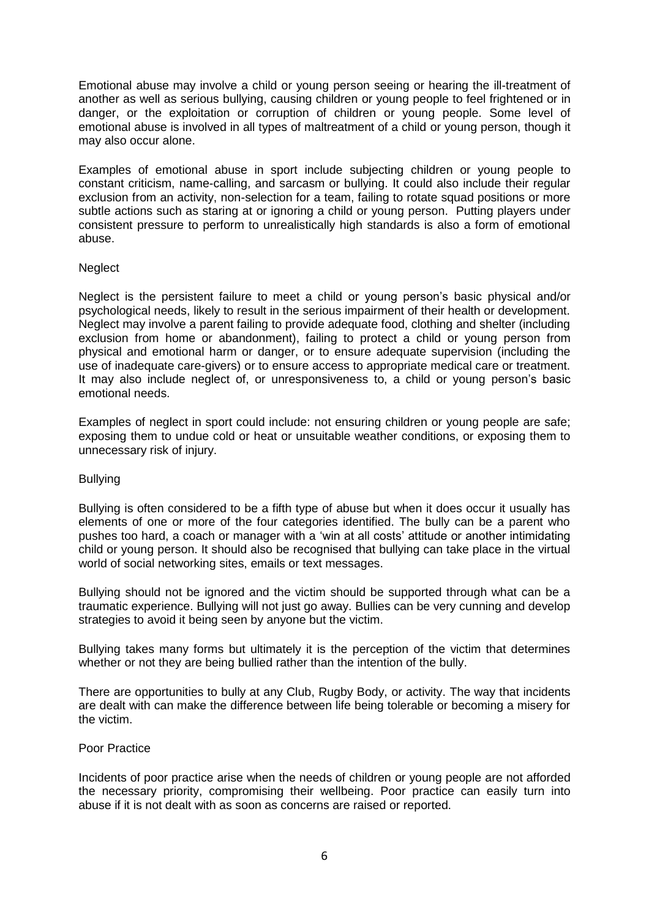Emotional abuse may involve a child or young person seeing or hearing the ill-treatment of another as well as serious bullying, causing children or young people to feel frightened or in danger, or the exploitation or corruption of children or young people. Some level of emotional abuse is involved in all types of maltreatment of a child or young person, though it may also occur alone.

Examples of emotional abuse in sport include subjecting children or young people to constant criticism, name-calling, and sarcasm or bullying. It could also include their regular exclusion from an activity, non-selection for a team, failing to rotate squad positions or more subtle actions such as staring at or ignoring a child or young person. Putting players under consistent pressure to perform to unrealistically high standards is also a form of emotional abuse.

# Neglect

Neglect is the persistent failure to meet a child or young person"s basic physical and/or psychological needs, likely to result in the serious impairment of their health or development. Neglect may involve a parent failing to provide adequate food, clothing and shelter (including exclusion from home or abandonment), failing to protect a child or young person from physical and emotional harm or danger, or to ensure adequate supervision (including the use of inadequate care-givers) or to ensure access to appropriate medical care or treatment. It may also include neglect of, or unresponsiveness to, a child or young person"s basic emotional needs.

Examples of neglect in sport could include: not ensuring children or young people are safe; exposing them to undue cold or heat or unsuitable weather conditions, or exposing them to unnecessary risk of injury.

### Bullying

Bullying is often considered to be a fifth type of abuse but when it does occur it usually has elements of one or more of the four categories identified. The bully can be a parent who pushes too hard, a coach or manager with a "win at all costs" attitude or another intimidating child or young person. It should also be recognised that bullying can take place in the virtual world of social networking sites, emails or text messages.

Bullying should not be ignored and the victim should be supported through what can be a traumatic experience. Bullying will not just go away. Bullies can be very cunning and develop strategies to avoid it being seen by anyone but the victim.

Bullying takes many forms but ultimately it is the perception of the victim that determines whether or not they are being bullied rather than the intention of the bully.

There are opportunities to bully at any Club, Rugby Body, or activity. The way that incidents are dealt with can make the difference between life being tolerable or becoming a misery for the victim.

## Poor Practice

Incidents of poor practice arise when the needs of children or young people are not afforded the necessary priority, compromising their wellbeing. Poor practice can easily turn into abuse if it is not dealt with as soon as concerns are raised or reported.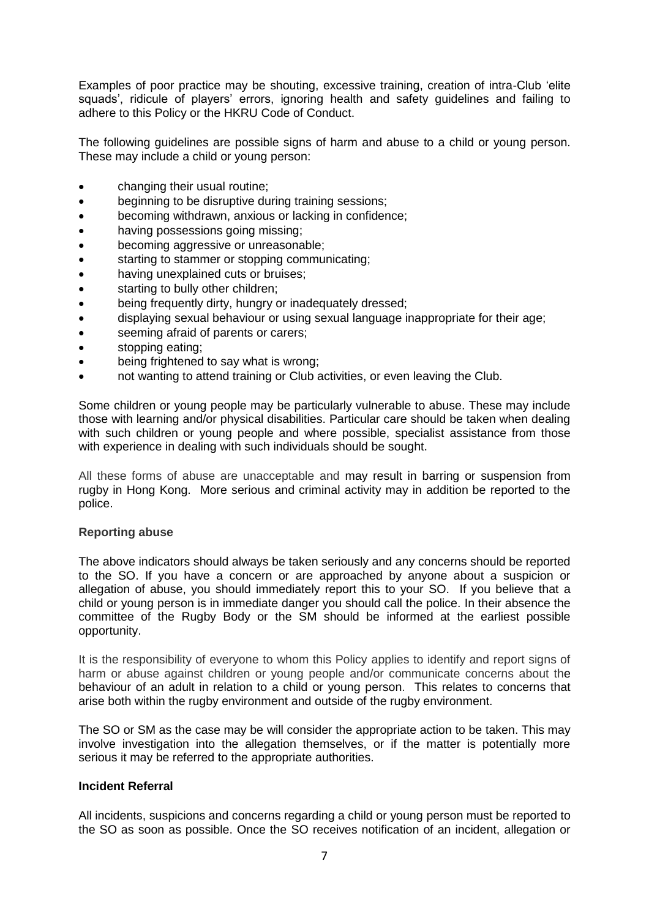Examples of poor practice may be shouting, excessive training, creation of intra-Club "elite squads', ridicule of players' errors, ignoring health and safety guidelines and failing to adhere to this Policy or the HKRU Code of Conduct.

The following guidelines are possible signs of harm and abuse to a child or young person. These may include a child or young person:

- changing their usual routine;
- beginning to be disruptive during training sessions;
- becoming withdrawn, anxious or lacking in confidence;
- having possessions going missing;
- becoming aggressive or unreasonable;
- starting to stammer or stopping communicating;
- having unexplained cuts or bruises;
- starting to bully other children;
- being frequently dirty, hungry or inadequately dressed;
- displaying sexual behaviour or using sexual language inappropriate for their age;
- seeming afraid of parents or carers;
- stopping eating;
- being frightened to say what is wrong;
- not wanting to attend training or Club activities, or even leaving the Club.

Some children or young people may be particularly vulnerable to abuse. These may include those with learning and/or physical disabilities. Particular care should be taken when dealing with such children or young people and where possible, specialist assistance from those with experience in dealing with such individuals should be sought.

All these forms of abuse are unacceptable and may result in barring or suspension from rugby in Hong Kong. More serious and criminal activity may in addition be reported to the police.

### **Reporting abuse**

The above indicators should always be taken seriously and any concerns should be reported to the SO. If you have a concern or are approached by anyone about a suspicion or allegation of abuse, you should immediately report this to your SO. If you believe that a child or young person is in immediate danger you should call the police. In their absence the committee of the Rugby Body or the SM should be informed at the earliest possible opportunity.

It is the responsibility of everyone to whom this Policy applies to identify and report signs of harm or abuse against children or young people and/or communicate concerns about the behaviour of an adult in relation to a child or young person. This relates to concerns that arise both within the rugby environment and outside of the rugby environment.

The SO or SM as the case may be will consider the appropriate action to be taken. This may involve investigation into the allegation themselves, or if the matter is potentially more serious it may be referred to the appropriate authorities.

### **Incident Referral**

All incidents, suspicions and concerns regarding a child or young person must be reported to the SO as soon as possible. Once the SO receives notification of an incident, allegation or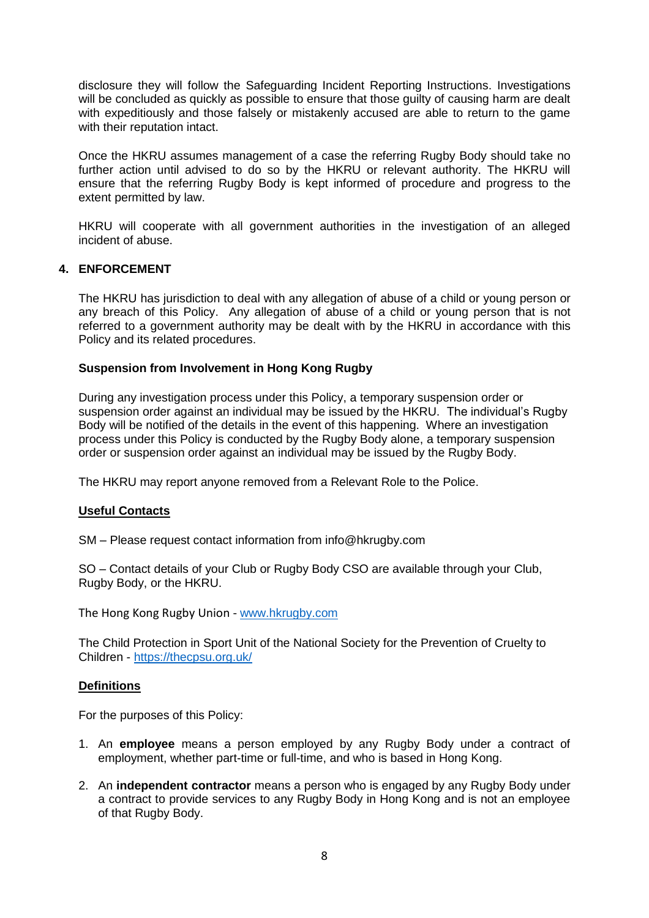disclosure they will follow the Safeguarding Incident Reporting Instructions. Investigations will be concluded as quickly as possible to ensure that those guilty of causing harm are dealt with expeditiously and those falsely or mistakenly accused are able to return to the game with their reputation intact.

Once the HKRU assumes management of a case the referring Rugby Body should take no further action until advised to do so by the HKRU or relevant authority. The HKRU will ensure that the referring Rugby Body is kept informed of procedure and progress to the extent permitted by law.

HKRU will cooperate with all government authorities in the investigation of an alleged incident of abuse.

# **4. ENFORCEMENT**

The HKRU has jurisdiction to deal with any allegation of abuse of a child or young person or any breach of this Policy. Any allegation of abuse of a child or young person that is not referred to a government authority may be dealt with by the HKRU in accordance with this Policy and its related procedures.

# **Suspension from Involvement in Hong Kong Rugby**

During any investigation process under this Policy, a temporary suspension order or suspension order against an individual may be issued by the HKRU. The individual"s Rugby Body will be notified of the details in the event of this happening. Where an investigation process under this Policy is conducted by the Rugby Body alone, a temporary suspension order or suspension order against an individual may be issued by the Rugby Body.

The HKRU may report anyone removed from a Relevant Role to the Police.

# **Useful Contacts**

SM – Please request contact information from info@hkrugby.com

SO – Contact details of your Club or Rugby Body CSO are available through your Club, Rugby Body, or the HKRU.

The Hong Kong Rugby Union - [www.hkrugby.com](http://www.hkrugby.com/)

The Child Protection in Sport Unit of the National Society for the Prevention of Cruelty to Children - <https://thecpsu.org.uk/>

# **Definitions**

For the purposes of this Policy:

- 1. An **employee** means a person employed by any Rugby Body under a contract of employment, whether part-time or full-time, and who is based in Hong Kong.
- 2. An **independent contractor** means a person who is engaged by any Rugby Body under a contract to provide services to any Rugby Body in Hong Kong and is not an employee of that Rugby Body.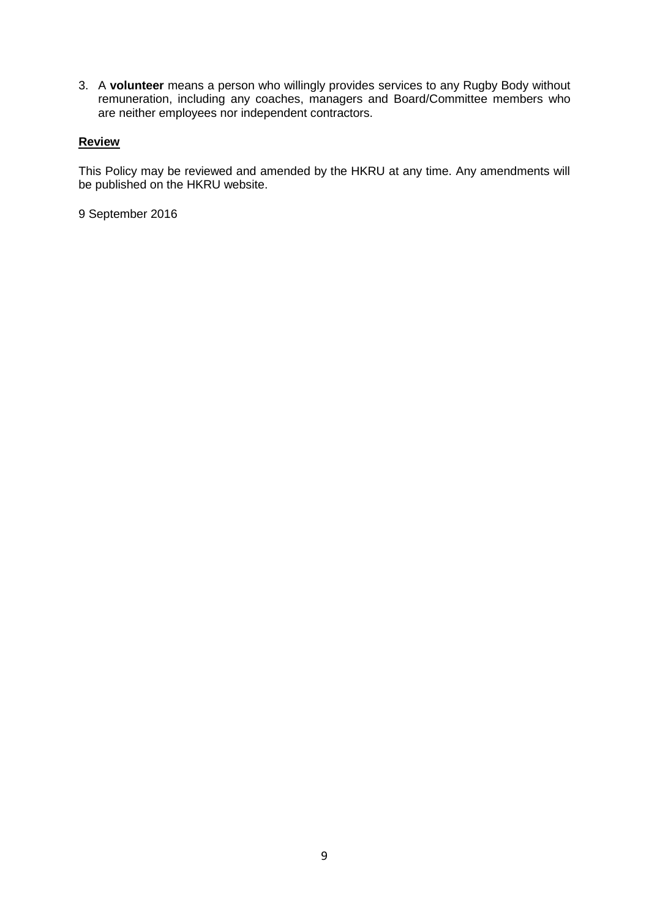3. A **volunteer** means a person who willingly provides services to any Rugby Body without remuneration, including any coaches, managers and Board/Committee members who are neither employees nor independent contractors.

# **Review**

This Policy may be reviewed and amended by the HKRU at any time. Any amendments will be published on the HKRU website.

9 September 2016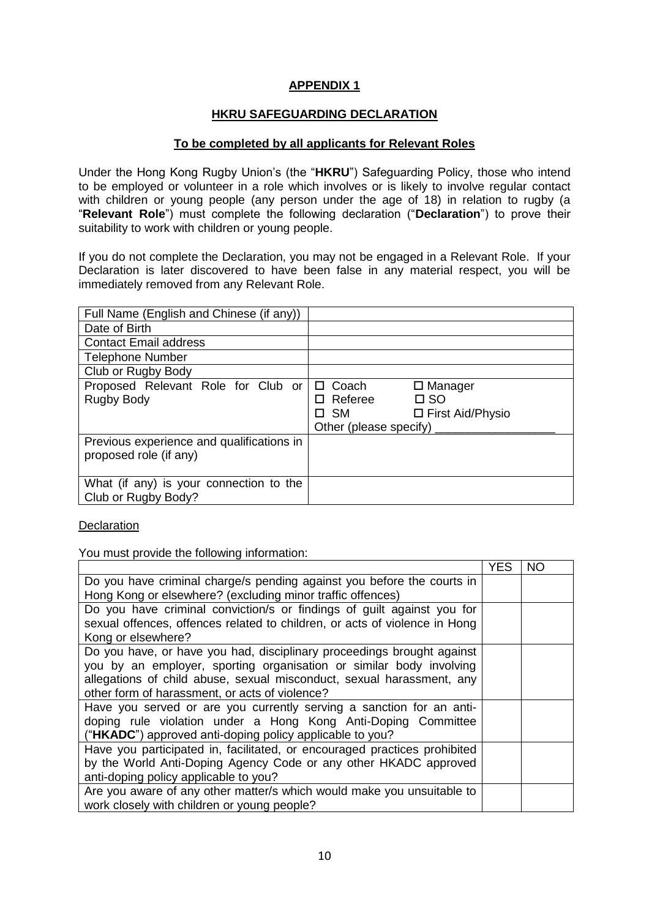# **APPENDIX 1**

# **HKRU SAFEGUARDING DECLARATION**

## **To be completed by all applicants for Relevant Roles**

Under the Hong Kong Rugby Union"s (the "**HKRU**") Safeguarding Policy, those who intend to be employed or volunteer in a role which involves or is likely to involve regular contact with children or young people (any person under the age of 18) in relation to rugby (a "**Relevant Role**") must complete the following declaration ("**Declaration**") to prove their suitability to work with children or young people.

If you do not complete the Declaration, you may not be engaged in a Relevant Role. If your Declaration is later discovered to have been false in any material respect, you will be immediately removed from any Relevant Role.

| Full Name (English and Chinese (if any))                            |                           |                                |
|---------------------------------------------------------------------|---------------------------|--------------------------------|
| Date of Birth                                                       |                           |                                |
| <b>Contact Email address</b>                                        |                           |                                |
| <b>Telephone Number</b>                                             |                           |                                |
| Club or Rugby Body                                                  |                           |                                |
| Proposed Relevant Role for Club or<br><b>Rugby Body</b>             | □ Coach<br>$\Box$ Referee | $\Box$ Manager<br>$\square$ SO |
|                                                                     | $\square$ SM              | □ First Aid/Physio             |
|                                                                     | Other (please specify)    |                                |
| Previous experience and qualifications in<br>proposed role (if any) |                           |                                |
| What (if any) is your connection to the<br>Club or Rugby Body?      |                           |                                |

**Declaration** 

You must provide the following information:

|                                                                            | <b>YES</b> | ΝO |
|----------------------------------------------------------------------------|------------|----|
| Do you have criminal charge/s pending against you before the courts in     |            |    |
| Hong Kong or elsewhere? (excluding minor traffic offences)                 |            |    |
| Do you have criminal conviction/s or findings of guilt against you for     |            |    |
| sexual offences, offences related to children, or acts of violence in Hong |            |    |
| Kong or elsewhere?                                                         |            |    |
| Do you have, or have you had, disciplinary proceedings brought against     |            |    |
| you by an employer, sporting organisation or similar body involving        |            |    |
| allegations of child abuse, sexual misconduct, sexual harassment, any      |            |    |
| other form of harassment, or acts of violence?                             |            |    |
| Have you served or are you currently serving a sanction for an anti-       |            |    |
| doping rule violation under a Hong Kong Anti-Doping Committee              |            |    |
| ("HKADC") approved anti-doping policy applicable to you?                   |            |    |
| Have you participated in, facilitated, or encouraged practices prohibited  |            |    |
| by the World Anti-Doping Agency Code or any other HKADC approved           |            |    |
| anti-doping policy applicable to you?                                      |            |    |
| Are you aware of any other matter/s which would make you unsuitable to     |            |    |
| work closely with children or young people?                                |            |    |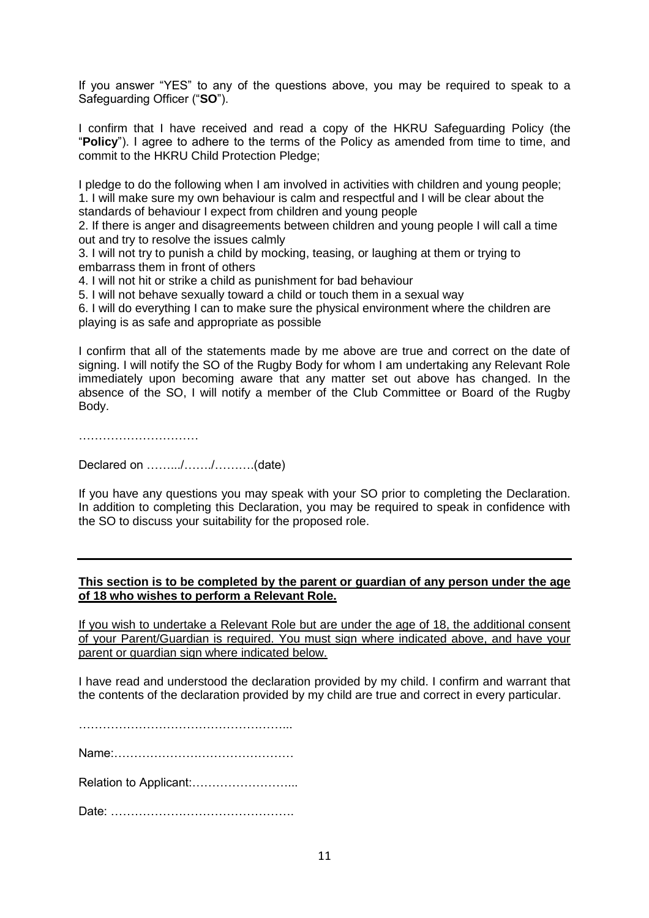If you answer "YES" to any of the questions above, you may be required to speak to a Safeguarding Officer ("**SO**").

I confirm that I have received and read a copy of the HKRU Safeguarding Policy (the "**Policy**"). I agree to adhere to the terms of the Policy as amended from time to time, and commit to the HKRU Child Protection Pledge;

I pledge to do the following when I am involved in activities with children and young people; 1. I will make sure my own behaviour is calm and respectful and I will be clear about the standards of behaviour I expect from children and young people

2. If there is anger and disagreements between children and young people I will call a time out and try to resolve the issues calmly

3. I will not try to punish a child by mocking, teasing, or laughing at them or trying to embarrass them in front of others

4. I will not hit or strike a child as punishment for bad behaviour

5. I will not behave sexually toward a child or touch them in a sexual way

6. I will do everything I can to make sure the physical environment where the children are playing is as safe and appropriate as possible

I confirm that all of the statements made by me above are true and correct on the date of signing. I will notify the SO of the Rugby Body for whom I am undertaking any Relevant Role immediately upon becoming aware that any matter set out above has changed. In the absence of the SO, I will notify a member of the Club Committee or Board of the Rugby Body.

……………………………………

Declared on …….../……./……….(date)

If you have any questions you may speak with your SO prior to completing the Declaration. In addition to completing this Declaration, you may be required to speak in confidence with the SO to discuss your suitability for the proposed role.

## **This section is to be completed by the parent or guardian of any person under the age of 18 who wishes to perform a Relevant Role.**

If you wish to undertake a Relevant Role but are under the age of 18, the additional consent of your Parent/Guardian is required. You must sign where indicated above, and have your parent or guardian sign where indicated below.

I have read and understood the declaration provided by my child. I confirm and warrant that the contents of the declaration provided by my child are true and correct in every particular.

……………………………………………...

Name:………………………………………

Relation to Applicant:……………………...

Date: ……………………………………….